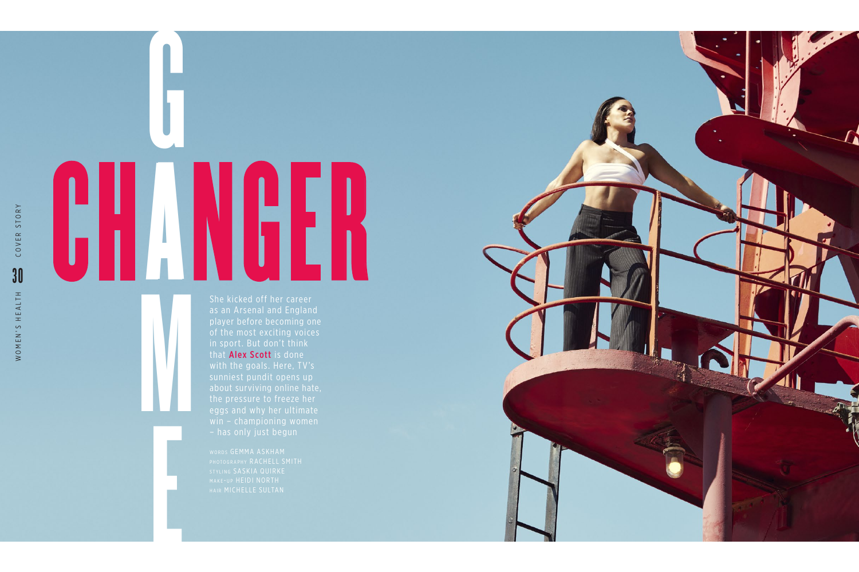She kicked off her career as an Arsenal and England player before becoming one that **Alex Scott** is done with the goals. Here, TV's eggs and why her ultimate

G A M CHANGER

E

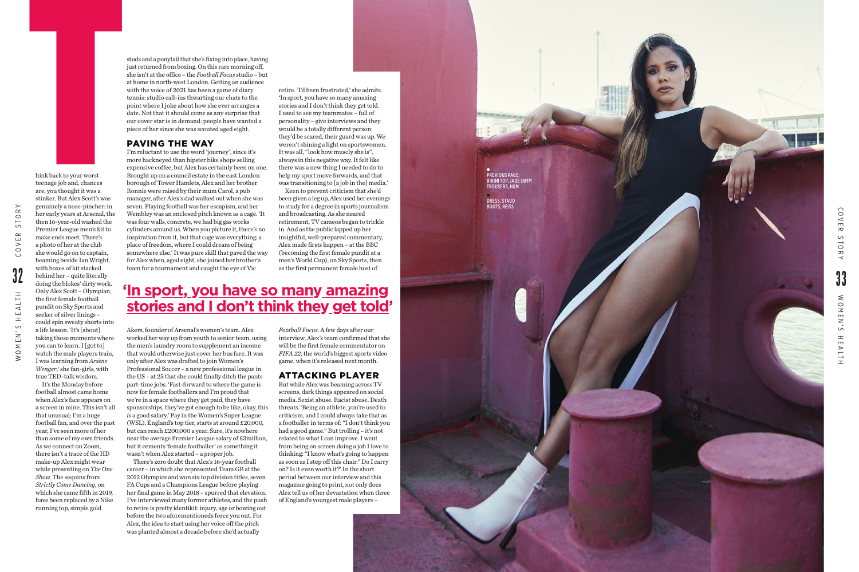



hink back to your worst teenage job and, chances are, you thought it was a stinker. But Alex Scott's was genuinely a nose-pincher: in her early years at Arsenal, the then 16-year-old washed the Premier League men's kit to make ends meet. There's a photo of her at the club she would go on to captain, beaming beside Ian Wright, with boxes of kit stacked behind her – quite literally doing the blokes' dirty work. Only Alex Scott – Olympian, the first female football pundit on Sky Sports and seeker of silver linings – could spin sweaty shorts into a life lesson. 'It's [about] taking those moments where you can to learn. I [got to] watch the male players train, I was learning from *Arsène Wenger*,' she fan-girls, with true TED-talk wisdom. In this back to your worst<br>teenage job and, chances<br>are, yout hought it was a<br>striker. But Alex Scott's systemether: the realy years at strangly an ose-pincher:<br>the realy years at Alex Scott's was<br>genuinely a mose-pincher

It's the Monday before football almost came home when Alex's face appears on a screen in mine. This isn't all that unusual; I'm a huge football fan, and over the past year, I've seen more of her than some of my own friends. As we connect on Zoom, there isn't a trace of the HD make-up Alex might wear while presenting on *The One Show*. The sequins from *Strictly Come Dancing*, on which she came fifth in 2019, have been replaced by a Nike running top, simple gold

studs and a ponytail that she's fixing into place, having just returned from boxing. On this rare morning off, she isn't at the office – the *Football Focus* studio – but at home in north-west London. Getting an audience with the voice of 2021 has been a game of diary tennis: studio call-ins thwarting our chats to the point where I joke about how she ever arranges a date. Not that it should come as any surprise that our cover star is in demand: people have wanted a piece of her since she was scouted aged eight.

## PAVING THE WAY

I'm reluctant to use the word 'journey', since it's more hackneyed than hipster bike shops selling expensive coffee, but Alex has certainly been on one. Brought up on a council estate in the east London borough of Tower Hamlets, Alex and her brother Ronnie were raised by their mum Carol, a pub manager, after Alex's dad walked out when she was seven. Playing football was her escapism, and her Wembley was an enclosed pitch known as a cage. 'It was four walls, concrete, we had big gas works cylinders around us. When you picture it, there's no inspiration from it, but that cage was everything; a place of freedom, where I could dream of being somewhere else.' It was pure skill that paved the way for Alex when, aged eight, she joined her brother's team for a tournament and caught the eye of Vic

Akers, founder of Arsenal's women's team. Alex worked her way up from youth to senior team, using the men's laundry room to supplement an income that would otherwise just cover her bus fare. It was only after Alex was drafted to join Women's Professional Soccer – a new professional league in the US – at 25 that she could finally ditch the pants part-time jobs. 'Fast-forward to where the game is now for female footballers and I'm proud that we're in a space where they get paid, they have sponsorships, they've got enough to be like, okay, this *is* a good salary.' Pay in the Women's Super League (WSL), England's top tier, starts at around £20,000, but can reach £200,000 a year. Sure, it's nowhere near the average Premier League salary of £3million, but it cements 'female footballer' as something it wasn't when Alex started – a proper job.

There's zero doubt that Alex's 16-year football career – in which she represented Team GB at the 2012 Olympics and won six top division titles, seven FA Cups and a Champions League before playing her final game in May 2018 – spurred that elevation. I've interviewed many former athletes, and the push to retire is pretty identikit: injury, age or bowing out before the two aforementioneds force you out. For Alex, the idea to start using her voice off the pitch was planted almost a decade before she'd actually

retire. 'I'd been frustrated,' she admits. 'In sport, you have so many amazing stories and I don't think they get told. I used to see my teammates – full of personality – give interviews and they would be a totally different person: they'd be scared, their guard was up. We weren't shining a light on sportswomen. It was all, "look how muscly she is", always in this negative way. It felt like there was a new thing I needed to do to help my sport move forwards, and that was transitioning to [a job in the] media.'

Keen to prevent criticism that she'd been given a leg up, Alex used her evenings to study for a degree in sports journalism and broadcasting. As she neared retirement, TV cameos began to trickle in. And as the public lapped up her insightful, well-prepared commentary, Alex made firsts happen – at the BBC (becoming the first female pundit at a men's World Cup), on Sky Sports, then as the first permanent female host of

*Football Focus*. A few days after our interview, Alex's team confirmed that she will be the first female commentator on *FIFA 22*, the world's biggest sports video game, when it's released next month.

## ATTACKING PLAYER

But while Alex was beaming across TV screens, dark things appeared on social media. Sexist abuse. Racist abuse. Death threats. 'Being an athlete, you're used to criticism, and I could always take that as a footballer in terms of: "I don't think you had a good game." But trolling – it's not related to what I can improve. I went from being on screen doing a job I love to thinking: "I know what's going to happen as soon as I step off this chair." Do I carry on? Is it even worth it?' In the short period between our interview and this magazine going to print, not only does Alex tell us of her devastation when three of England's youngest male players –

## **'In s port , you have so man y amazing stories and I don't think they get told '**

PREVIOUS PAGE: BIKINI TOP, JADE SWIM TROUSERS, H&M DRESS, STAUD BOOTS, REISS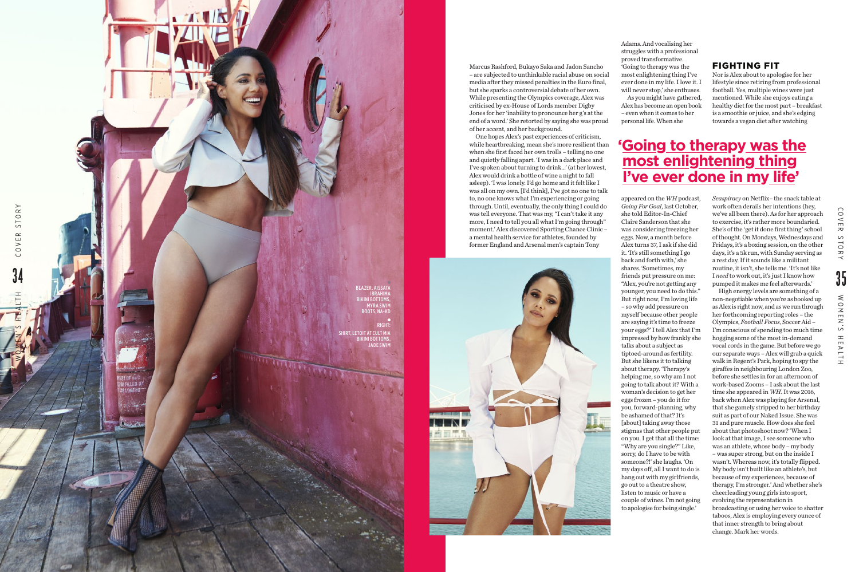Marcus Rashford, Bukayo Saka and Jadon Sancho – are subjected to unthinkable racial abuse on social media after they missed penalties in the Euro final, but she sparks a controversial debate of her own. While presenting the Olympics coverage, Alex was criticised by ex-House of Lords member Digby Jones for her 'inability to pronounce her g's at the end of a word.' She retorted by saying she was proud of her accent, and her background.

One hopes Alex's past experiences of criticism, while heartbreaking, mean she's more resilient than when she first faced her own trolls – telling no one and quietly falling apart. 'I was in a dark place and I've spoken about turning to drink…' (at her lowest, Alex would drink a bottle of wine a night to fall asleep). 'I was lonely. I'd go home and it felt like I was all on my own. [I'd think], I've got no one to talk to, no one knows what I'm experiencing or going through. Until, eventually, the only thing I could do was tell everyone. That was my, "I can't take it any more, I need to tell you all what I'm going through" moment.' Alex discovered Sporting Chance Clinic – a mental health service for athletes, founded by former England and Arsenal men's captain Tony



Adams. And vocalising her As you might have gathered,

struggles with a professional proved transformative. 'Going to therapy was the most enlightening thing I've ever done in my life. I love it. I will never stop,' she enthuses. Alex has become an open book – even when it comes to her personal life. When she

# **'Going to therapy was the most enlightening thing l've ever done in my life'**

appeared on the *WH* podcast, *Going For Goal*, last October, she told Editor-In-Chief Claire Sanderson that she was considering freezing her eggs. Now, a month before Alex turns 37, I ask if she did it. 'It's still something I go back and forth with,' she shares. 'Sometimes, my friends put pressure on me: "Alex, you're not getting any younger, you need to do this." But right now, I'm loving life – so why add pressure on myself because other people are saying it's time to freeze your eggs?' I tell Alex that I'm impressed by how frankly she talks about a subject as tiptoed-around as fertility. But she likens it to talking about therapy. 'Therapy's helping me, so why am I not going to talk about it? With a woman's decision to get her eggs frozen – you do it for you, forward-planning, why be ashamed of that? It's [about] taking away those stigmas that other people put on you. I get that all the time: "Why are you single?" Like, sorry, do I have to be with someone?!' she laughs. 'On my days off, all I want to do is hang out with my girlfriends,



go out to a theatre show, listen to music or have a couple of wines. I'm not going to apologise for being single.'

## FIGHTING FIT

Nor is Alex about to apologise for her lifestyle since retiring from professional football. Yes, multiple wines were just mentioned. While she enjoys eating a healthy diet for the most part – breakfast is a smoothie or juice, and she's edging towards a vegan diet after watching

*Seaspiracy* on Netflix– the snack table at work often derails her intentions (hey, we've all been there). As for her approach to exercise, it's rather more boundaried. She's of the 'get it done first thing' school of thought. On Mondays, Wednesdays and Fridays, it's a boxing session, on the other days, it's a 5k run, with Sunday serving as a rest day. If it sounds like a militant routine, it isn't, she tells me. 'It's not like I *need* to work out, it's just I know how pumped it makes me feel afterwards.'

High energy levels are something of a non-negotiable when you're as booked up as Alex is right now, and as we run through her forthcoming reporting roles – the Olympics, *Football Focus*, Soccer Aid – I'm conscious of spending too much time hogging some of the most in-demand vocal cords in the game. But before we go our separate ways – Alex will grab a quick walk in Regent's Park, hoping to spy the giraffes in neighbouring London Zoo, before she settles in for an afternoon of work-based Zooms – I ask about the last time she appeared in *WH*. It was 2016, back when Alex was playing for Arsenal, that she gamely stripped to her birthday suit as part of our Naked Issue. She was 31 and pure muscle. How does she feel about that photoshoot now? 'When I look at that image, I see someone who was an athlete, whose body – my body – was super strong, but on the inside I wasn't. Whereas now, it's totally flipped. My body isn't built like an athlete's, but because of my experiences, because of therapy, I'm stronger.' And whether she's cheerleading young girls into sport, evolving the representation in broadcasting or using her voice to shatter taboos, Alex is employing every ounce of that inner strength to bring about change. Mark her words.